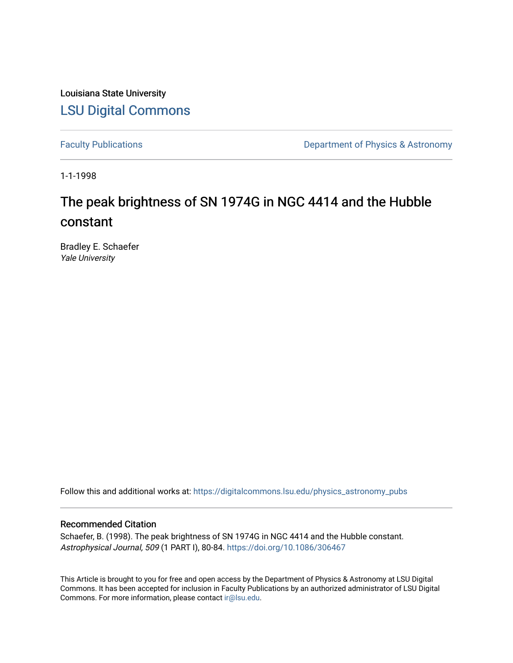Louisiana State University [LSU Digital Commons](https://digitalcommons.lsu.edu/)

[Faculty Publications](https://digitalcommons.lsu.edu/physics_astronomy_pubs) **Exercise 2** Constant Department of Physics & Astronomy

1-1-1998

# The peak brightness of SN 1974G in NGC 4414 and the Hubble constant

Bradley E. Schaefer Yale University

Follow this and additional works at: [https://digitalcommons.lsu.edu/physics\\_astronomy\\_pubs](https://digitalcommons.lsu.edu/physics_astronomy_pubs?utm_source=digitalcommons.lsu.edu%2Fphysics_astronomy_pubs%2F4790&utm_medium=PDF&utm_campaign=PDFCoverPages) 

# Recommended Citation

Schaefer, B. (1998). The peak brightness of SN 1974G in NGC 4414 and the Hubble constant. Astrophysical Journal, 509 (1 PART I), 80-84. <https://doi.org/10.1086/306467>

This Article is brought to you for free and open access by the Department of Physics & Astronomy at LSU Digital Commons. It has been accepted for inclusion in Faculty Publications by an authorized administrator of LSU Digital Commons. For more information, please contact [ir@lsu.edu](mailto:ir@lsu.edu).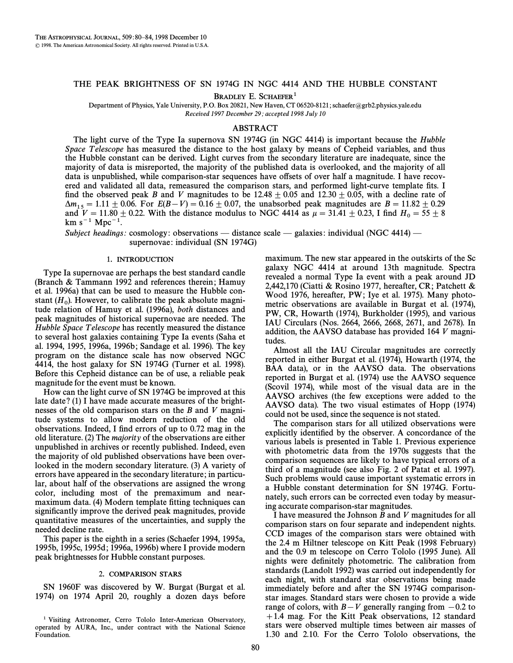## THE PEAK BRIGHTNESS OF SN 1974G IN NGC 4414 AND THE HUBBLE CONSTANT

BRADLEY E. SCHAEFER<sup>1</sup>

Department of Physics, Yale University, P.O. Box 20821, New Haven, CT 06520-8121; schaefer@grb2.physics.yale.edu Received 1997 December 29; accepted 1998 July 10

## ABSTRACT

The light curve of the Type Ia supernova SN 1974G (in NGC 4414) is important because the Hubble Space Telescope has measured the distance to the host galaxy by means of Cepheid variables, and thus the Hubble constant can be derived. Light curves from the secondary literature are inadequate, since the majority of data is misreported, the majority of the published data is overlooked, and the majority of all data is unpublished, while comparison-star sequences have offsets of over half a magnitude. I have recovered and validated all data, remeasured the comparison stars, and performed light-curve template fits. I find the observed peak B and V magnitudes to be  $12.48 \pm 0.05$  and  $12.30 \pm 0.05$ , with a decline rate of  $\Delta m_{15} = 1.11 \pm 0.06$ . For  $E(B-V) = 0.16 \pm 0.07$ , the unabsorbed peak magnitudes are  $B = 11.82 \pm 0.29$ and  $V = 11.80 \pm 0.22$ . With the distance modulus to NGC 4414 as  $\mu = 31.41 \pm 0.23$ , I find  $H_0 = 55 \pm 8$  $km s^{-1} Mpc^{-1}$ .

Subject headings: cosmology: observations — distance scale — galaxies: individual (NGC 4414) supernovae: individual (SN 1974G)

#### 1. INTRODUCTION

Type Ia supernovae are perhaps the best standard candle (Branch  $&$  Tammann 1992 and references therein; Hamuy et al. 1996a) that can be used to measure the Hubble constant  $(H_0)$ . However, to calibrate the peak absolute magnitude relation of Hamuy et al. (1006a), both distances and tude relation of Hamuy et al. (1996a), both distances and peak magnitudes of historical supernovae are needed. The Hubble Space T elescope has recently measured the distance to several host galaxies containing Type Ia events (Saha et al. 1994, 1995, 1996a, 1996b; Sandage et al. 1996). The key program on the distance scale has now observed NGC 4414, the host galaxy for SN 1974G (Turner et al. 1998). Before this Cepheid distance can be of use, a reliable peak magnitude for the event must be known.

How can the light curve of SN 1974G be improved at this late date? (1) I have made accurate measures of the brightnesses of the old comparison stars on the B and V magnitude systems to allow modern reduction of the old observations. Indeed, I find errors of up to 0.72 mag in the old literature. (2) The majority of the observations are either unpublished in archives or recently published. Indeed, even the majority of old published observations have been overlooked in the modern secondary literature. (3) A variety of errors have appeared in the secondary literature; in particular, about half of the observations are assigned the wrong color, including most of the premaximum and nearmaximum data. (4) Modern template fitting techniques can significantly improve the derived peak magnitudes, provide quantitative measures of the uncertainties, and supply the needed decline rate.

This paper is the eighth in a series (Schaefer 1994, 1995a, 1995b, 1995c, 1995d; 1996a, 1996b) where I provide modern peak brightnesses for Hubble constant purposes.

### 2. COMPARISON STARS

SN 1960F was discovered by W. Burgat (Burgat et al. 1974) on 1974 April 20, roughly a dozen days before

<sup>1</sup> Visiting Astronomer, Cerro Tololo Inter-American Observatory, operated by AURA, Inc., under contract with the National Science Foundation.

maximum. The new star appeared in the outskirts of the Sc galaxy NGC 4414 at around 13th magnitude. Spectra revealed a normal Type Ia event with a peak around JD 2,442,170 (Ciatti & Rosino 1977, hereafter, CR; Patchett & Wood 1976, hereafter, PW; Iye et al. 1975). Many photometric observations are available in Burgat et al. (1974), PW, CR, Howarth (1974), Burkholder (1995), and various IAU Circulars (Nos. 2664, 2666, 2668, 2671, and 2678). In addition, the AAVSO database has provided 164 V magnitudes.

Almost all the IAU Circular magnitudes are correctly reported in either Burgat et al. (1974), Howarth (1974, the BAA data), or in the AAVSO data. The observations reported in Burgat et al.  $(1974)$  use the AAVSO sequence (Scovil 1974), while most of the visual data are in the AAVSO archives (the few exceptions were added to the AAVSO data). The two visual estimates of Hopp (1974) could not be used, since the sequence is not stated.

The comparison stars for all utilized observations were explicitly identified by the observer. A concordance of the various labels is presented in Table 1. Previous experience with photometric data from the 1970s suggests that the comparison sequences are likely to have typical errors of a third of a magnitude (see also Fig. 2 of Patat et al. 1997). Such problems would cause important systematic errors in a Hubble constant determination for SN 1974G. Fortunately, such errors can be corrected even today by measuring accurate comparison-star magnitudes.

I have measured the Johnson B and V magnitudes for all comparison stars on four separate and independent nights. CCD images of the comparison stars were obtained with the 2.4 m Hiltner telescope on Kitt Peak (1998 February) and the 0.9 m telescope on Cerro Tololo (1995 June). All nights were definitely photometric. The calibration from standards (Landolt 1992) was carried out independently for each night, with standard star observations being made immediately before and after the SN 1974G comparisonstar images. Standard stars were chosen to provide a wide range of colors, with  $B-V$  generally ranging from  $-0.2$  to  $+1.4$  mag. For the Kitt Peak observations, 12 standard stars were observed multiple times between air masses of 1.30 and 2.10. For the Cerro Tololo observations, the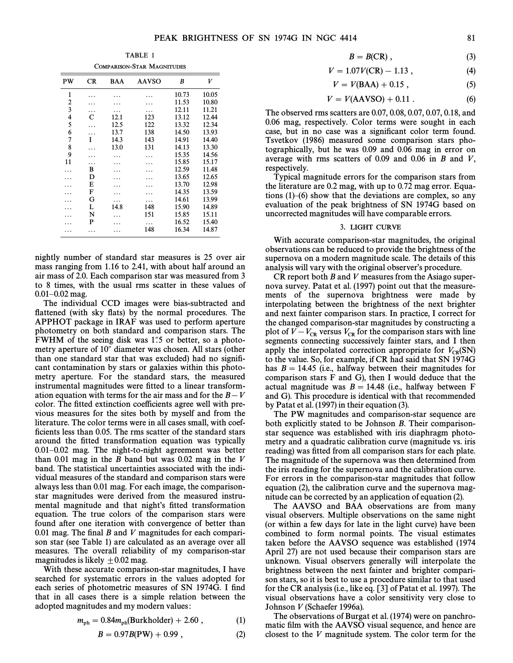TABLE 1 COMPARISON-STAR MAGNITUDES

| COMPARISON-STAR IVIAGNITUDES |    |            |              |       |       |  |  |  |
|------------------------------|----|------------|--------------|-------|-------|--|--|--|
| PW                           | CR | <b>BAA</b> | <b>AAVSO</b> | B     | V     |  |  |  |
| $\mathbf{1}$                 |    |            |              | 10.73 | 10.05 |  |  |  |
| 2                            |    |            |              | 11.53 | 10.80 |  |  |  |
| 3                            |    |            |              | 12.11 | 11.21 |  |  |  |
| 4                            | C  | 12.1       | 123          | 13.12 | 12.44 |  |  |  |
| 5                            | .  | 12.5       | 122          | 13.32 | 12.34 |  |  |  |
| 6                            |    | 13.7       | 138          | 14.50 | 13.93 |  |  |  |
| 7                            | T  | 14.3       | 143          | 14.91 | 14.40 |  |  |  |
| 8                            |    | 13.0       | 131          | 14.13 | 13.30 |  |  |  |
| 9                            |    |            |              | 15.35 | 14.56 |  |  |  |
| 11                           | .  |            |              | 15.85 | 15.17 |  |  |  |
|                              | B  |            |              | 12.59 | 11.48 |  |  |  |
|                              | D  |            |              | 13.65 | 12.65 |  |  |  |
|                              | E  |            |              | 13.70 | 12.98 |  |  |  |
|                              | F  |            |              | 14.35 | 13.59 |  |  |  |
|                              | G  |            |              | 14.61 | 13.99 |  |  |  |
|                              | L  | 14.8       | 148          | 15.90 | 14.89 |  |  |  |
|                              | N  |            | 151          | 15.85 | 15.11 |  |  |  |
|                              | P  |            |              | 16.52 | 15.40 |  |  |  |
| .                            |    | .          | 148          | 16.34 | 14.87 |  |  |  |
|                              |    |            |              |       |       |  |  |  |

nightly number of standard star measures is 25 over air mass ranging from 1.16 to 2.41, with about half around an air mass of 2.0. Each comparison star was measured from 3 to 8 times, with the usual rms scatter in these values of  $0.01 - 0.02$  mag.

The individual CCD images were bias-subtracted and flattened (with sky flats) by the normal procedures. The APPHOT package in IRAF was used to perform aperture photometry on both standard and comparison stars. The FWHM of the seeing disk was  $1\rlap{.}^{\prime\prime}5$  or better, so a photometry aperture of 10" diameter was chosen. All stars (other than one standard star that was excluded) had no signiÐcant contamination by stars or galaxies within this photometry aperture. For the standard stars, the measured instrumental magnitudes were fitted to a linear transformation equation with terms for the air mass and for the  $B-V$ color. The fitted extinction coefficients agree well with previous measures for the sites both by myself and from the literature. The color terms were in all cases small, with coefficients less than 0.05. The rms scatter of the standard stars around the fitted transformation equation was typically  $0.01-0.02$  mag. The night-to-night agreement was better than  $0.01$  mag in the B band but was  $0.02$  mag in the V band. The statistical uncertainties associated with the individual measures of the standard and comparison stars were always less than 0.01 mag. For each image, the comparisonstar magnitudes were derived from the measured instrumental magnitude and that night's fitted transformation equation. The true colors of the comparison stars were found after one iteration with convergence of better than 0.01 mag. The final  $B$  and  $V$  magnitudes for each comparison star (see Table 1) are calculated as an average over all measures. The overall reliability of my comparison-star magnitudes is likely  $\pm 0.02$  mag.

With these accurate comparison-star magnitudes, I have searched for systematic errors in the values adopted for each series of photometric measures of SN 1974G. I find that in all cases there is a simple relation between the adopted magnitudes and my modern values:

$$
m_{\rm ph} = 0.84 m_{\rm ph} (\text{Burkholder}) + 2.60 , \qquad (1)
$$

$$
B = 0.97B(PW) + 0.99 , \t(2)
$$

$$
B = B(CR) , \t\t(3)
$$

$$
V = 1.07V(CR) - 1.13 , \t\t(4)
$$

$$
V = V(BAA) + 0.15 , \t(5)
$$

$$
V = V(AAVSO) + 0.11 . \tag{6}
$$

The observed rms scatters are 0.07, 0.08, 0.07, 0.07, 0.18, and 0.06 mag, respectively. Color terms were sought in each case, but in no case was a significant color term found. Tsvetkov (1986) measured some comparison stars photographically, but he was 0.09 and 0.06 mag in error on average with rms scatters of 0.09 and 0.06 in  $B$  and  $V$ , respectively.

Typical magnitude errors for the comparison stars from the literature are 0.2 mag, with up to 0.72 mag error. Equations  $(1)$ – $(6)$  show that the deviations are complex, so any evaluation of the peak brightness of SN 1974G based on uncorrected magnitudes will have comparable errors.

#### 3. LIGHT CURVE

With accurate comparison-star magnitudes, the original observations can be reduced to provide the brightness of the supernova on a modern magnitude scale. The details of this analysis will vary with the original observer's procedure.

 $CR$  report both  $B$  and  $V$  measures from the Asiago supernova survey. Patat et al. (1997) point out that the measurements of the supernova brightness were made by interpolating between the brightness of the next brighter and next fainter comparison stars. In practice, I correct for the changed comparison-star magnitudes by constructing a plot of  $V - V_{CR}$  versus  $V_{CR}$  for the comparison stars with line vectors connecting successively fainter stars, and I then segments connecting successively fainter stars, and I then apply the interpolated correction appropriate for  $V_{CR}(SN)$ <br>to the value So for example if CR had said that SN 1974G to the value. So, for example, if CR had said that SN 1974G has  $B = 14.45$  (i.e., halfway between their magnitudes for comparison stars F and G), then I would deduce that the actual magnitude was  $B = 14.48$  (i.e., halfway between F and G). This procedure is identical with that recommended by Patat et al.  $(1997)$  in their equation  $(3)$ .

The PW magnitudes and comparison-star sequence are both explicitly stated to be Johnson B. Their comparisonstar sequence was established with iris diaphragm photometry and a quadratic calibration curve (magnitude vs. iris reading) was fitted from all comparison stars for each plate. The magnitude of the supernova was then determined from the iris reading for the supernova and the calibration curve. For errors in the comparison-star magnitudes that follow equation (2), the calibration curve and the supernova magnitude can be corrected by an application of equation (2).

The AAVSO and BAA observations are from many visual observers. Multiple observations on the same night (or within a few days for late in the light curve) have been combined to form normal points. The visual estimates taken before the AAVSO sequence was established (1974 April 27) are not used because their comparison stars are unknown. Visual observers generally will interpolate the brightness between the next fainter and brighter comparison stars, so it is best to use a procedure similar to that used for the CR analysis (i.e., like eq.  $[3]$  of Patat et al. 1997). The visual observations have a color sensitivity very close to Johnson V (Schaefer 1996a).

The observations of Burgat et al. (1974) were on panchromatic film with the AAVSO visual sequence, and hence are closest to the V magnitude system. The color term for the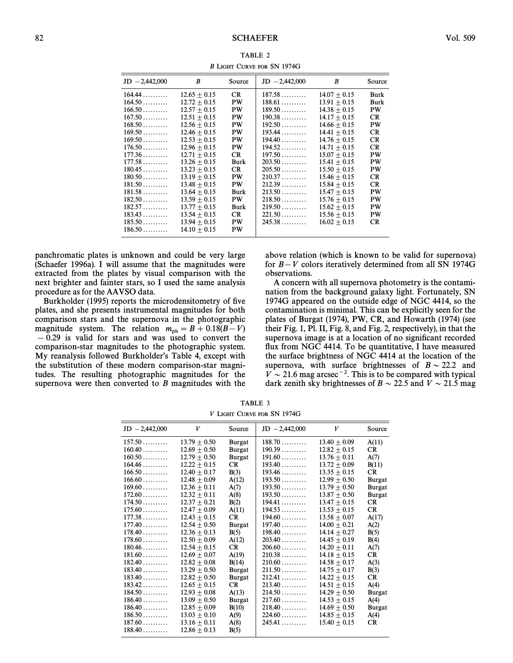| $JD - 2,442,000$ | B              | Source    | $JD - 2,442,000$ | B              | Source    |
|------------------|----------------|-----------|------------------|----------------|-----------|
| 164.44           | $12.65 + 0.15$ | CR.       | 187.58           | $14.07 + 0.15$ | Burk      |
| 164.50           | $12.72 + 0.15$ | PW        | 188.61           | $13.91 + 0.15$ | Burk      |
| 166.50           | $12.57 + 0.15$ | PW        | 189.50           | $14.38 + 0.15$ | PW        |
| 167.50           | $12.51 + 0.15$ | PW        | 190.38           | $14.17 + 0.15$ | <b>CR</b> |
| 168.50           | $12.56 + 0.15$ | PW        | 192.50           | $14.66 + 0.15$ | PW        |
| 169.50           | $12.46 + 0.15$ | PW        | 193.44           | $14.41 + 0.15$ | CR.       |
| 169.50           | $12.53 + 0.15$ | PW        | 194.40           | $14.76 + 0.15$ | <b>CR</b> |
| 176.50           | $12.96 + 0.15$ | PW        | 194.52           | $14.71 + 0.15$ | <b>CR</b> |
| 177.36           | $12.71 + 0.15$ | <b>CR</b> | 197.50           | $15.07 + 0.15$ | PW        |
| 177.58           | $13.26 + 0.15$ | Burk      | 203.50           | $15.41 + 0.15$ | PW        |
| 180.45           | $13.23 + 0.15$ | <b>CR</b> | 205.50           | $15.50 + 0.15$ | PW        |
| 180.50           | $13.19 + 0.15$ | PW        | 210.37           | $15.46 + 0.15$ | CR.       |
| 181.50           | $13.48 + 0.15$ | PW        | 212.39           | $15.84 + 0.15$ | <b>CR</b> |
| 181.58           | $13.64 + 0.15$ | Burk      | 213.50           | $15.47 + 0.15$ | PW        |
| 182.50           | $13.59 + 0.15$ | PW        | 218.50           | $15.76 + 0.15$ | PW        |
| 182.57           | $13.77 + 0.15$ | Burk      | 219.50           | $15.62 + 0.15$ | PW        |
| 183.43           | $13.54 + 0.15$ | <b>CR</b> | 221.50           | $15.56 + 0.15$ | PW        |
| 185.50           | $13.94 + 0.15$ | <b>PW</b> | 245.38           | $16.02 + 0.15$ | <b>CR</b> |
| 186.50           | $14.10 + 0.15$ | PW        |                  |                |           |
|                  |                |           |                  |                |           |

TABLE 2 B LIGHT CURVE FOR SN 1974G

panchromatic plates is unknown and could be very large (Schaefer 1996a). I will assume that the magnitudes were extracted from the plates by visual comparison with the next brighter and fainter stars, so I used the same analysis procedure as for the AAVSO data.

Burkholder (1995) reports the microdensitometry of five plates, and she presents instrumental magnitudes for both comparison stars and the supernova in the photographic magnitude system. The relation  $m_{\text{ph}} = B + 0.18(B-V)$  $-0.29$  is valid for stars and was used to convert the comparison-star magnitudes to the photographic system. My reanalysis followed Burkholder's Table 4, except with the substitution of these modern comparison-star magnitudes. The resulting photographic magnitudes for the supernova were then converted to B magnitudes with the above relation (which is known to be valid for supernova) for  $B-V$  colors iteratively determined from all SN 1974G observations.

A concern with all supernova photometry is the contamination from the background galaxy light. Fortunately, SN 1974G appeared on the outside edge of NGC 4414, so the contamination is minimal. This can be explicitly seen for the plates of Burgat (1974), PW, CR, and Howarth (1974) (see their Fig. 1, Pl. II, Fig. 8, and Fig. 2, respectively), in that the supernova image is at a location of no significant recorded flux from NGC 4414. To be quantitative, I have measured the surface brightness of NGC 4414 at the location of the supernova, with surface brightnesses of  $B \sim 22.2$  and  $V \sim 21.6$  mag arcsec<sup>-2</sup>. This is to be compared with typical dark zenith sky brightnesses of  $B \sim 22.5$  and  $V \sim 21.5$  mag

| F LIGHT CURVE FOR SIN 1974 O |                  |               |                 |                  |               |  |  |  |
|------------------------------|------------------|---------------|-----------------|------------------|---------------|--|--|--|
| $JD -2,442,000$              | V                | Source        | $JD -2,442,000$ | V                | Source        |  |  |  |
| 157.50                       | $13.79 + 0.50$   | <b>Burgat</b> | 188.70          | $13.40 \pm 0.09$ | A(11)         |  |  |  |
| 160.40                       | $12.69 + 0.50$   | <b>Burgat</b> | 190.39          | $12.82 + 0.15$   | <b>CR</b>     |  |  |  |
| 160.50                       | $12.79 \pm 0.50$ | <b>Burgat</b> | 191.60          | $13.76 + 0.11$   | A(7)          |  |  |  |
| 164.46                       | $12.22 + 0.15$   | <b>CR</b>     | 193.40          | $13.72 + 0.09$   | B(11)         |  |  |  |
| 166.50                       | $12.40 + 0.17$   | B(3)          | 193.46          | $13.35 + 0.15$   | <b>CR</b>     |  |  |  |
| 166.60                       | $12.48 + 0.09$   | A(12)         | 193.50          | $12.99 + 0.50$   | <b>Burgat</b> |  |  |  |
| 169.60                       | $12.36 + 0.11$   | A(7)          | 193.50          | $13.79 + 0.50$   | <b>Burgat</b> |  |  |  |
| 172.60                       | $12.32 \pm 0.11$ | A(8)          | 193.50          | $13.87 \pm 0.50$ | <b>Burgat</b> |  |  |  |
| 174.50                       | $12.37 \pm 0.21$ | B(2)          | 194.41          | $13.47 + 0.15$   | CR            |  |  |  |
| 175.60                       | $12.47 + 0.09$   | A(11)         | 194.53          | $13.53 + 0.15$   | CR            |  |  |  |
| 177.38                       | $12.43 + 0.15$   | CR.           | 194.60          | $13.58 + 0.07$   | A(17)         |  |  |  |
| 177.40                       | $12.54 + 0.50$   | <b>Burgat</b> | 197.40          | $14.00 + 0.21$   | A(2)          |  |  |  |
| 178.40                       | $12.36 + 0.13$   | B(5)          | 198.40          | $14.14 + 0.27$   | B(5)          |  |  |  |
| 178.60                       | $12.50 \pm 0.09$ | A(12)         | 203.40          | $14.45 + 0.19$   | B(4)          |  |  |  |
| 180.46                       | $12.54 + 0.15$   | CR            | 206.60          | $14.20 + 0.11$   | A(7)          |  |  |  |
| 181.60                       | $12.69 + 0.07$   | A(19)         | 210.38          | $14.18 + 0.15$   | CR            |  |  |  |
| 182.40                       | $12.82 + 0.08$   | B(14)         | $210.60$        | $14.58 + 0.17$   | A(3)          |  |  |  |
| 183.40                       | $13.29 + 0.50$   | <b>Burgat</b> | 211.50          | $14.75 + 0.17$   | B(3)          |  |  |  |
| 183.40                       | $12.82 + 0.50$   | <b>Burgat</b> | 212.41          | $14.22 \pm 0.15$ | CR.           |  |  |  |
| 183.42                       | $12.65 + 0.15$   | CR            | 213.40          | $14.51 + 0.15$   | A(4)          |  |  |  |
| 184.50                       | $12.93 + 0.08$   | A(13)         | 214.50          | $14.29 + 0.50$   | <b>Burgat</b> |  |  |  |
| 186.40                       | $13.09 + 0.50$   | <b>Burgat</b> | 217.60          | $14.53 + 0.15$   | A(4)          |  |  |  |
| 186.40                       | $12.85 + 0.09$   | B(10)         | 218.40          | $14.69 + 0.50$   | <b>Burgat</b> |  |  |  |
| 186.50                       | $13.03 + 0.10$   | A(9)          | 224.60          | $14.85 + 0.15$   | A(4)          |  |  |  |
| 187.60                       | $13.16 \pm 0.11$ | A(8)          | 245.41          | $15.40 + 0.15$   | <b>CR</b>     |  |  |  |
| 188.40                       | $12.86 + 0.13$   | B(5)          |                 |                  |               |  |  |  |

TABLE 3 V LIGHT CURVE FOR SN 1074C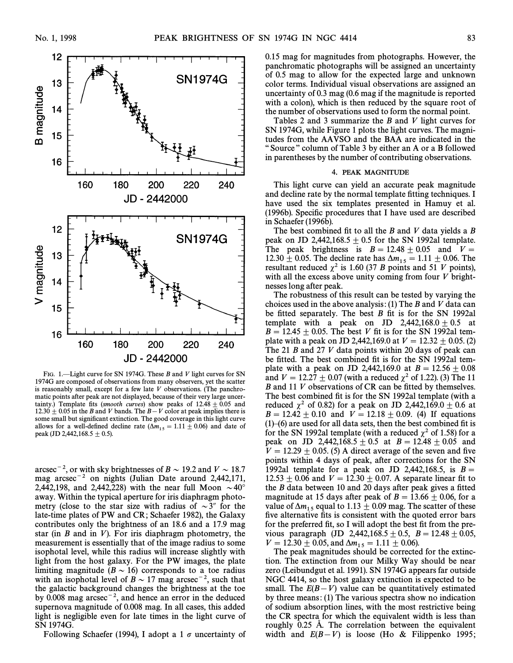

FIG. 1.—Light curve for SN 1974G. These B and V light curves for SN 1974G are composed of observations from many observers, yet the scatter is reasonably small, except for a few late  $V$  observations. (The panchromatic points after peak are not displayed, because of their very large uncertainty.) Template fits (smooth curves) show peaks of  $12.48 \pm 0.05$  and 12.30  $\pm$  0.05 in the B and V bands. The B $-V$  color at peak implies there is some small but significant extinction. The good coverage in this light curve allows for a well-defined decline rate ( $\Delta m_{15} = 1.11 \pm 0.06$ ) and date of peak (JD 2,442,168.5  $\pm$  0.5).

arcsec<sup>-2</sup>, or with sky brightnesses of  $B \sim 19.2$  and  $V \sim 18.7$ mag arcsec<sup>-2</sup> on nights (Julian Date around 2,442,171, 2,442,198, and 2,442,228) with the near full Moon  $\sim 40^\circ$ away. Within the typical aperture for iris diaphragm photometry (close to the star size with radius of  $\sim 3$ " for the late-time plates of PW and CR; Schaefer 1982), the Galaxy contributes only the brightness of an 18.6 and a 17.9 mag star (in  $B$  and in  $V$ ). For iris diaphragm photometry, the measurement is essentially that of the image radius to some isophotal level, while this radius will increase slightly with light from the host galaxy. For the PW images, the plate limiting magnitude ( $B \sim 16$ ) corresponds to a toe radius with an isophotal level of  $B \sim 17$  mag arcsec<sup>-2</sup>, such that the galactic background changes the brightness at the toe by  $0.008$  mag arcsec<sup>-2</sup>, and hence an error in the deduced supernova magnitude of 0.008 mag. In all cases, this added light is negligible even for late times in the light curve of SN 1974G.

Following Schaefer (1994), I adopt a 1  $\sigma$  uncertainty of

0.15 mag for magnitudes from photographs. However, the panchromatic photographs will be assigned an uncertainty of 0.5 mag to allow for the expected large and unknown color terms. Individual visual observations are assigned an uncertainty of 0.3 mag (0.6 mag if the magnitude is reported with a colon), which is then reduced by the square root of the number of observations used to form the normal point.

Tables 2 and 3 summarize the B and V light curves for SN 1974G, while Figure 1 plots the light curves. The magnitudes from the AAVSO and the BAA are indicated in the "Source" column of Table 3 by either an A or a B followed in parentheses by the number of contributing observations.

#### 4. PEAK MAGNITUDE

This light curve can yield an accurate peak magnitude and decline rate by the normal template fitting techniques. I have used the six templates presented in Hamuy et al. (1996b). Specific procedures that I have used are described in Schaefer (1996b).

The best combined fit to all the  $B$  and  $V$  data yields a  $B$ peak on JD 2,442,168.5  $\pm$  0.5 for the SN 1992al template. The peak brightness is  $B = 12.48 \pm 0.05$  and  $V =$ 12.30  $\pm$  0.05. The decline rate has  $\Delta m_{15} = 1.11 \pm 0.06$ . The resultant reduced  $\chi^2$  is 1.60 (37 B points and 51 V points), with all the excess above unity coming from four  $V$  brightnesses long after peak.

The robustness of this result can be tested by varying the choices used in the above analysis: (1) The B and V data can be fitted separately. The best  $B$  fit is for the SN 1992al template with a peak on JD 2,442,168.0  $\pm$  0.5 at  $B = 12.45 \pm 0.05$ . The best V fit is for the SN 1992al template with a peak on JD 2,442,169.0 at  $V = 12.32 \pm 0.05$ . (2) The 21 B and 27 V data points within 20 days of peak can be fitted. The best combined fit is for the SN 1992al template with a peak on JD 2,442,169.0 at  $B = 12.56 \pm 0.08$ and  $V = 12.27 \pm 0.07$  (with a reduced  $\chi^2$  of 1.22). (3) The 11  $B$  and 11  $V$  observations of CR can be fitted by themselves. The best combined fit is for the SN 1992al template (with a reduced  $\chi^2$  of 0.82) for a peak on JD 2,442,169.0  $\pm$  0.6 at  $B = 12.42 \pm 0.10$  and  $V = 12.18 \pm 0.09$ . (4) If equations  $(1)$  $(6)$  are used for all data sets, then the best combined fit is for the SN 1992al template (with a reduced  $\chi^2$  of 1.58) for a peak on JD 2,442,168.5  $\pm$  0.5 at B = 12.48  $\pm$  0.05 and  $V = 12.29 \pm 0.05$ . (5) A direct average of the seven and five points within 4 days of peak, after corrections for the SN 1992al template for a peak on JD 2,442,168.5, is  $B =$ 12.53  $\pm$  0.06 and  $V = 12.30 \pm 0.07$ . A separate linear fit to the  $B$  data between 10 and 20 days after peak gives a fitted magnitude at 15 days after peak of  $B = 13.66 \pm 0.06$ , for a value of  $\Delta m_{15}$  equal to 1.13  $\pm$  0.09 mag. The scatter of these five alternative fits is consistent with the quoted error bars for the preferred fit, so I will adopt the best fit from the previous paragraph (JD 2,442,168.5  $\pm$  0.5, B = 12.48  $\pm$  0.05,  $V = 12.30 \pm 0.05$ , and  $\Delta m_{15} = 1.11 \pm 0.06$ .

The peak magnitudes should be corrected for the extinction. The extinction from our Milky Way should be near zero (Leibundgut et al. 1991). SN 1974G appears far outside NGC 4414, so the host galaxy extinction is expected to be small. The  $E(B-V)$  value can be quantitatively estimated by three means: (1) The various spectra show no indication of sodium absorption lines, with the most restrictive being the CR spectra for which the equivalent width is less than roughly 0.25 Å. The correlation between the equivalent width and  $E(B-V)$  is loose (Ho & Filippenko 1995;